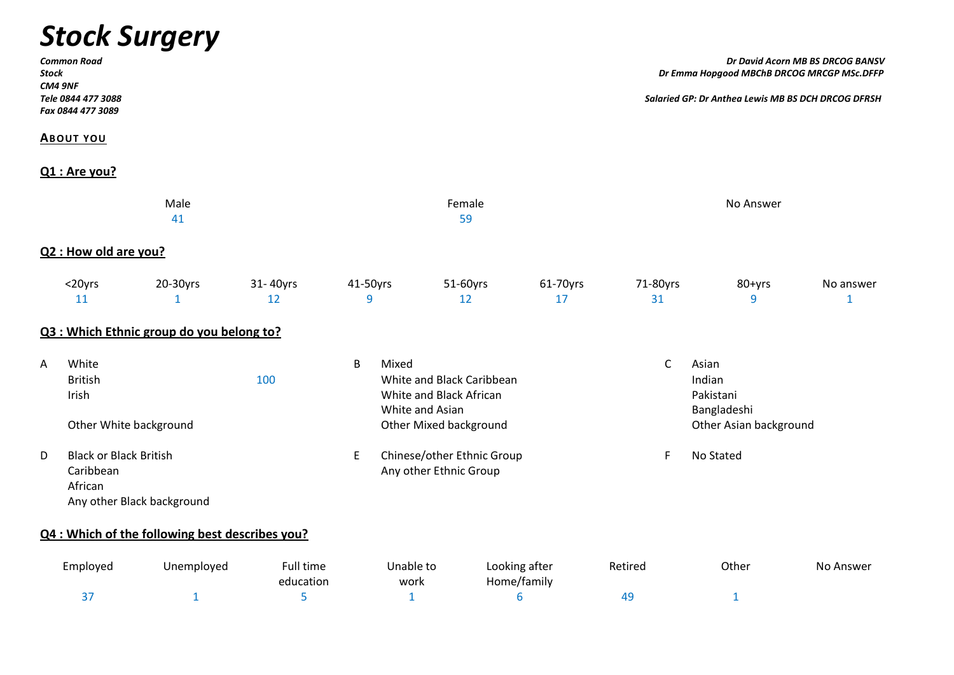# *Stock Surgery*

| <b>Common Road</b><br>Stock<br>CM4 9NF<br>Tele 0844 477 3088<br>Fax 0844 477 3089 |                                                                                     |                                                 |                        |                                                    |                          |                                                                                       |                              | Dr David Acorn MB BS DRCOG BANSV<br>Dr Emma Hopgood MBChB DRCOG MRCGP MSc.DFFP |                                                                       |                           |  |
|-----------------------------------------------------------------------------------|-------------------------------------------------------------------------------------|-------------------------------------------------|------------------------|----------------------------------------------------|--------------------------|---------------------------------------------------------------------------------------|------------------------------|--------------------------------------------------------------------------------|-----------------------------------------------------------------------|---------------------------|--|
|                                                                                   |                                                                                     |                                                 |                        | Salaried GP: Dr Anthea Lewis MB BS DCH DRCOG DFRSH |                          |                                                                                       |                              |                                                                                |                                                                       |                           |  |
|                                                                                   | <b>ABOUT YOU</b>                                                                    |                                                 |                        |                                                    |                          |                                                                                       |                              |                                                                                |                                                                       |                           |  |
|                                                                                   | $Q1:$ Are you?                                                                      |                                                 |                        |                                                    |                          |                                                                                       |                              |                                                                                |                                                                       |                           |  |
|                                                                                   |                                                                                     | Male<br>41                                      |                        |                                                    |                          | Female<br>59                                                                          |                              |                                                                                | No Answer                                                             |                           |  |
|                                                                                   | Q2 : How old are you?                                                               |                                                 |                        |                                                    |                          |                                                                                       |                              |                                                                                |                                                                       |                           |  |
|                                                                                   | <20yrs<br>11                                                                        | 20-30yrs<br>$\mathbf{1}$                        | 31-40yrs<br>12         | 41-50yrs<br>9                                      |                          | 51-60yrs<br>12                                                                        | 61-70yrs<br>17               | 71-80yrs<br>31                                                                 | 80+yrs<br>9                                                           | No answer<br>$\mathbf{1}$ |  |
|                                                                                   |                                                                                     | Q3 : Which Ethnic group do you belong to?       |                        |                                                    |                          |                                                                                       |                              |                                                                                |                                                                       |                           |  |
| A                                                                                 | White<br><b>British</b><br>Irish<br>Other White background                          |                                                 | 100                    | B                                                  | Mixed<br>White and Asian | White and Black Caribbean<br>White and Black African<br><b>Other Mixed background</b> |                              | $\mathsf{C}$                                                                   | Asian<br>Indian<br>Pakistani<br>Bangladeshi<br>Other Asian background |                           |  |
| D                                                                                 | <b>Black or Black British</b><br>Caribbean<br>African<br>Any other Black background |                                                 |                        | E                                                  |                          | Chinese/other Ethnic Group<br>Any other Ethnic Group                                  |                              | F                                                                              | No Stated                                                             |                           |  |
|                                                                                   |                                                                                     | Q4 : Which of the following best describes you? |                        |                                                    |                          |                                                                                       |                              |                                                                                |                                                                       |                           |  |
|                                                                                   | Employed                                                                            | Unemployed                                      | Full time<br>education |                                                    | Unable to<br>work        |                                                                                       | Looking after<br>Home/family | Retired                                                                        | Other                                                                 | No Answer                 |  |
|                                                                                   | 37                                                                                  | $\mathbf{1}$                                    | 5                      |                                                    | $\mathbf{1}$             |                                                                                       | $6\,$                        | 49                                                                             | $\mathbf{1}$                                                          |                           |  |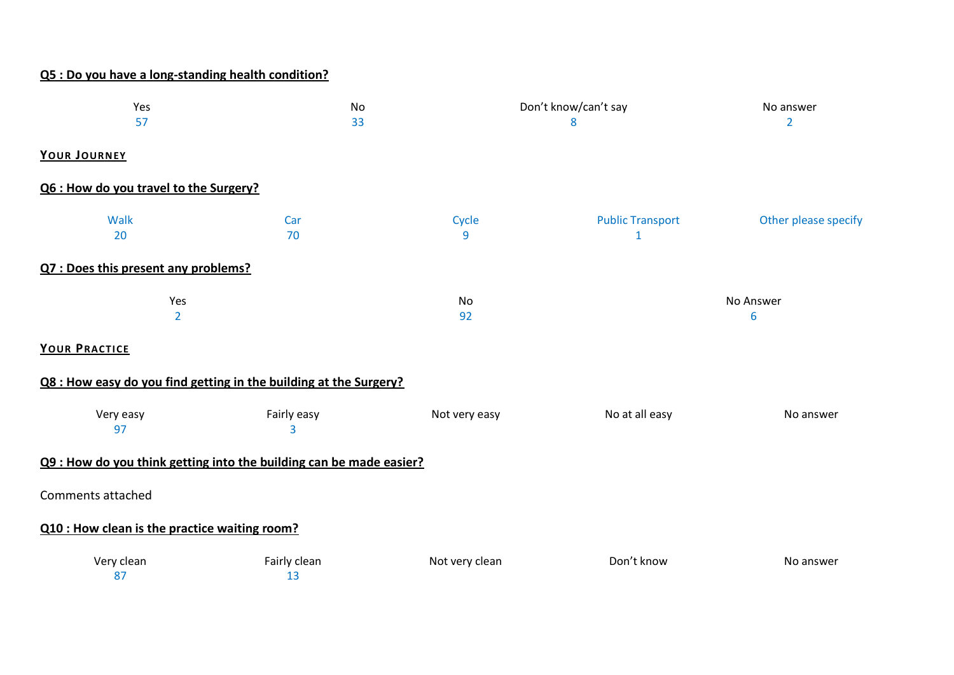## **Q5 : Do you have a long-standing health condition?**

| Yes<br>57                                                           | <b>No</b><br>33    |                | Don't know/can't say<br>8    | No answer<br>$\overline{2}$ |
|---------------------------------------------------------------------|--------------------|----------------|------------------------------|-----------------------------|
| YOUR JOURNEY                                                        |                    |                |                              |                             |
| Q6 : How do you travel to the Surgery?                              |                    |                |                              |                             |
| Walk<br>20                                                          | Car<br>70          | Cycle<br>9     | <b>Public Transport</b><br>1 | Other please specify        |
| Q7 : Does this present any problems?                                |                    |                |                              |                             |
| Yes<br>$\overline{2}$                                               |                    | No<br>92       |                              | No Answer<br>6              |
| YOUR PRACTICE                                                       |                    |                |                              |                             |
| Q8 : How easy do you find getting in the building at the Surgery?   |                    |                |                              |                             |
| Very easy<br>97                                                     | Fairly easy<br>3   | Not very easy  | No at all easy               | No answer                   |
| Q9 : How do you think getting into the building can be made easier? |                    |                |                              |                             |
| Comments attached                                                   |                    |                |                              |                             |
| Q10 : How clean is the practice waiting room?                       |                    |                |                              |                             |
| Very clean<br>87                                                    | Fairly clean<br>13 | Not very clean | Don't know                   | No answer                   |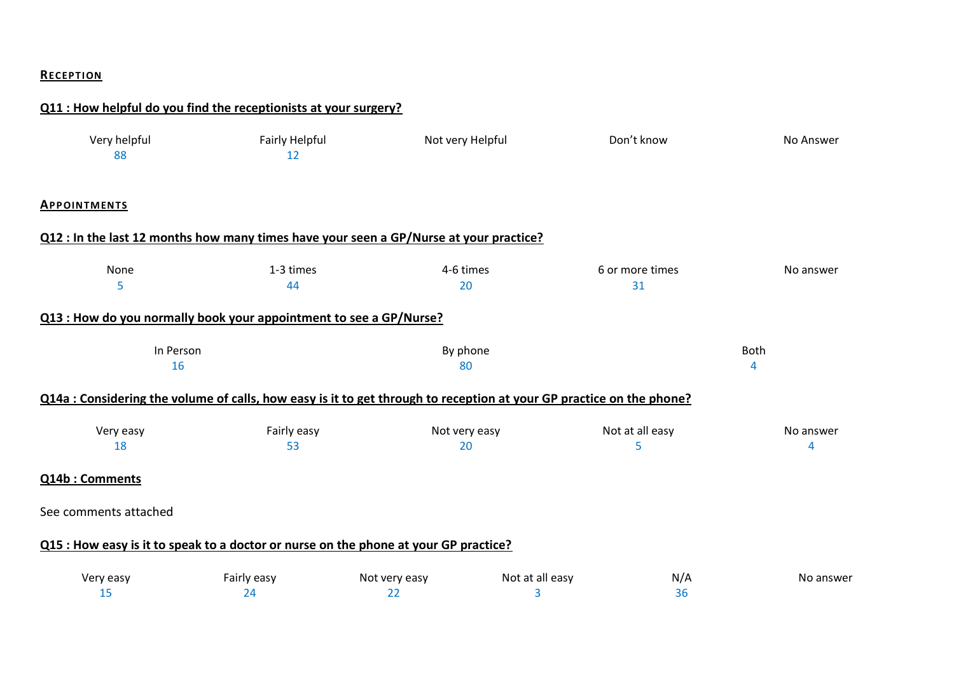#### **RECEP TION**

|                       | Q11 : How helpful do you find the receptionists at your surgery?                                                     |                     |                      |                       |                  |
|-----------------------|----------------------------------------------------------------------------------------------------------------------|---------------------|----------------------|-----------------------|------------------|
| Very helpful<br>88    | <b>Fairly Helpful</b><br>12                                                                                          | Not very Helpful    |                      | Don't know            | No Answer        |
| <b>APPOINTMENTS</b>   |                                                                                                                      |                     |                      |                       |                  |
|                       | Q12 : In the last 12 months how many times have your seen a GP/Nurse at your practice?                               |                     |                      |                       |                  |
| None<br>5             | 1-3 times<br>44                                                                                                      | 4-6 times<br>20     |                      | 6 or more times<br>31 | No answer        |
|                       | Q13 : How do you normally book your appointment to see a GP/Nurse?                                                   |                     |                      |                       |                  |
| In Person<br>16       |                                                                                                                      | By phone<br>80      |                      |                       | <b>Both</b><br>4 |
|                       | Q14a : Considering the volume of calls, how easy is it to get through to reception at your GP practice on the phone? |                     |                      |                       |                  |
| Very easy<br>18       | Fairly easy<br>53                                                                                                    | Not very easy<br>20 |                      | Not at all easy<br>5  | No answer<br>4   |
| Q14b: Comments        |                                                                                                                      |                     |                      |                       |                  |
| See comments attached |                                                                                                                      |                     |                      |                       |                  |
|                       | Q15 : How easy is it to speak to a doctor or nurse on the phone at your GP practice?                                 |                     |                      |                       |                  |
| Very easy<br>15       | Fairly easy<br>24                                                                                                    | Not very easy<br>22 | Not at all easy<br>3 | N/A<br>36             | No answer        |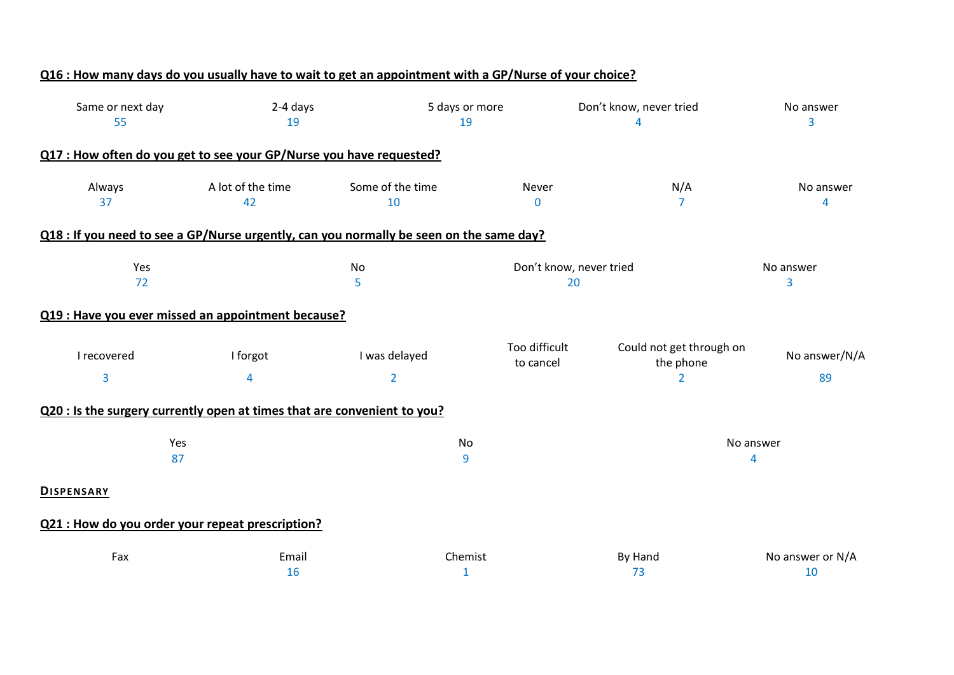| Q16 : How many days do you usually have to wait to get an appointment with a GP/Nurse of your choice? |                         |                                 |                            |                                                         |                                      |
|-------------------------------------------------------------------------------------------------------|-------------------------|---------------------------------|----------------------------|---------------------------------------------------------|--------------------------------------|
| Same or next day<br>55                                                                                | 2-4 days<br>19          |                                 | 5 days or more<br>19       | Don't know, never tried<br>4                            | No answer<br>3                       |
| Q17 : How often do you get to see your GP/Nurse you have requested?                                   |                         |                                 |                            |                                                         |                                      |
| Always<br>37                                                                                          | A lot of the time<br>42 | Some of the time<br>10          | Never<br>$\mathbf 0$       | N/A<br>$\overline{7}$                                   | No answer<br>$\overline{\mathbf{4}}$ |
| Q18 : If you need to see a GP/Nurse urgently, can you normally be seen on the same day?               |                         |                                 |                            |                                                         |                                      |
| Yes<br>72                                                                                             |                         | No<br>5                         |                            | Don't know, never tried<br>20                           | No answer<br>3                       |
| Q19 : Have you ever missed an appointment because?                                                    |                         |                                 |                            |                                                         |                                      |
| I recovered<br>$\overline{3}$                                                                         | I forgot<br>4           | I was delayed<br>$\overline{2}$ | Too difficult<br>to cancel | Could not get through on<br>the phone<br>$\overline{2}$ | No answer/N/A<br>89                  |
| Q20 : Is the surgery currently open at times that are convenient to you?                              |                         |                                 |                            |                                                         |                                      |
| Yes<br>87                                                                                             |                         |                                 | No<br>9                    |                                                         | No answer<br>4                       |
| <b>DISPENSARY</b>                                                                                     |                         |                                 |                            |                                                         |                                      |
| Q21 : How do you order your repeat prescription?                                                      |                         |                                 |                            |                                                         |                                      |
| Fax                                                                                                   | Email<br>16             |                                 | Chemist<br>1               | By Hand<br>73                                           | No answer or N/A<br>10               |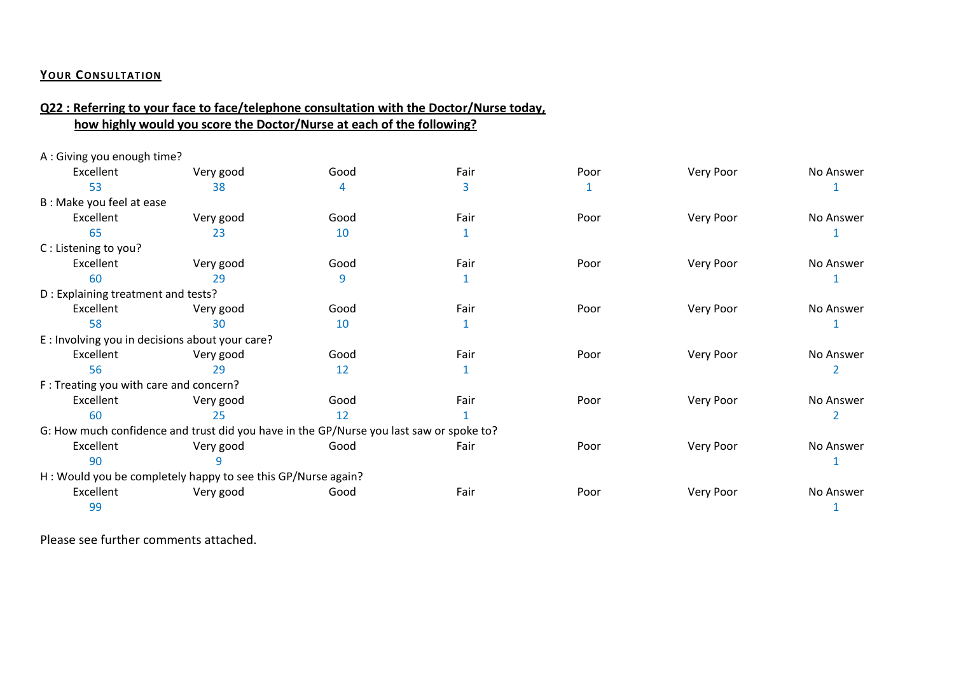#### **YOUR CONSULTATION**

## **Q22 : Referring to your face to face/telephone consultation with the Doctor/Nurse today, how highly would you score the Doctor/Nurse at each of the following?**

| A: Giving you enough time?                      |                                                                                         |      |      |      |           |           |
|-------------------------------------------------|-----------------------------------------------------------------------------------------|------|------|------|-----------|-----------|
| Excellent                                       | Very good                                                                               | Good | Fair | Poor | Very Poor | No Answer |
| 53                                              | 38                                                                                      |      | 3    |      |           |           |
| B : Make you feel at ease                       |                                                                                         |      |      |      |           |           |
| Excellent                                       | Very good                                                                               | Good | Fair | Poor | Very Poor | No Answer |
| 65                                              | 23                                                                                      | 10   |      |      |           |           |
| C: Listening to you?                            |                                                                                         |      |      |      |           |           |
| Excellent                                       | Very good                                                                               | Good | Fair | Poor | Very Poor | No Answer |
| 60                                              | 29                                                                                      |      |      |      |           |           |
| D: Explaining treatment and tests?              |                                                                                         |      |      |      |           |           |
| Excellent                                       | Very good                                                                               | Good | Fair | Poor | Very Poor | No Answer |
| 58                                              | 30                                                                                      | 10   |      |      |           |           |
| E : Involving you in decisions about your care? |                                                                                         |      |      |      |           |           |
| Excellent                                       | Very good                                                                               | Good | Fair | Poor | Very Poor | No Answer |
| 56                                              | 29                                                                                      | 12   |      |      |           |           |
| F: Treating you with care and concern?          |                                                                                         |      |      |      |           |           |
| Excellent                                       | Very good                                                                               | Good | Fair | Poor | Very Poor | No Answer |
| 60                                              | 25                                                                                      | 12   |      |      |           |           |
|                                                 | G: How much confidence and trust did you have in the GP/Nurse you last saw or spoke to? |      |      |      |           |           |
| Excellent                                       | Very good                                                                               | Good | Fair | Poor | Very Poor | No Answer |
| 90                                              |                                                                                         |      |      |      |           |           |
|                                                 | H: Would you be completely happy to see this GP/Nurse again?                            |      |      |      |           |           |
| Excellent                                       | Very good                                                                               | Good | Fair | Poor | Very Poor | No Answer |
| 99                                              |                                                                                         |      |      |      |           |           |
|                                                 |                                                                                         |      |      |      |           |           |

Please see further comments attached.